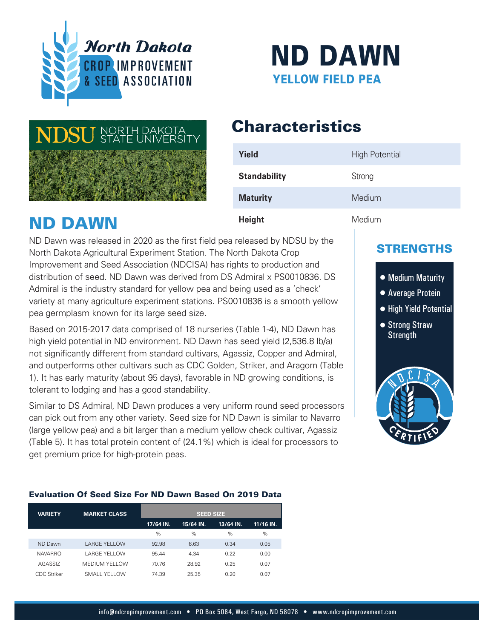



# **Characteristics**

| Yield               | <b>High Potential</b> |
|---------------------|-----------------------|
| <b>Standability</b> | Strong                |
| <b>Maturity</b>     | Medium                |
| <b>Height</b>       | Medium                |

ND DAWN

ND Dawn was released in 2020 as the first field pea released by NDSU by the North Dakota Agricultural Experiment Station. The North Dakota Crop Improvement and Seed Association (NDCISA) has rights to production and distribution of seed. ND Dawn was derived from DS Admiral x PS0010836. DS Admiral is the industry standard for yellow pea and being used as a 'check' variety at many agriculture experiment stations. PS0010836 is a smooth yellow pea germplasm known for its large seed size.

Based on 2015-2017 data comprised of 18 nurseries (Table 1-4), ND Dawn has high yield potential in ND environment. ND Dawn has seed yield (2,536.8 lb/a) not significantly different from standard cultivars, Agassiz, Copper and Admiral, and outperforms other cultivars such as CDC Golden, Striker, and Aragorn (Table 1). It has early maturity (about 95 days), favorable in ND growing conditions, is tolerant to lodging and has a good standability.

Similar to DS Admiral, ND Dawn produces a very uniform round seed processors can pick out from any other variety. Seed size for ND Dawn is similar to Navarro (large yellow pea) and a bit larger than a medium yellow check cultivar, Agassiz (Table 5). It has total protein content of (24.1%) which is ideal for processors to get premium price for high-protein peas.

### **Evaluation Of Seed Size For ND Dawn Based On 2019 Data** Evaluation Of Seed Size For ND Dawn Based On 2019 Data

| <b>VARIETY</b> | <b>MARKET CLASS</b>  | <b>SEED SIZE</b> |           |           |           |  |
|----------------|----------------------|------------------|-----------|-----------|-----------|--|
|                |                      | 17/64 IN.        | 15/64 IN. | 13/64 IN. | 11/16 IN. |  |
|                |                      | %                | %         | %         | $\%$      |  |
| <b>ND Dawn</b> | <b>LARGE YELLOW</b>  | 92.98            | 6.63      | 0.34      | 0.05      |  |
| <b>NAVARRO</b> | <b>LARGE YELLOW</b>  | 95.44            | 4.34      | 0.22      | 0.00      |  |
| AGASSIZ        | <b>MEDIUM YELLOW</b> | 70.76            | 28.92     | 0.25      | 0.07      |  |
| CDC Striker    | SMALL YELLOW         | 74.39            | 25.35     | 0.20      | 0.07      |  |

### STRENGTHS

## • Medium Maturity

- Average Protein
- High Yield Potential
- Strong Straw **Strength**

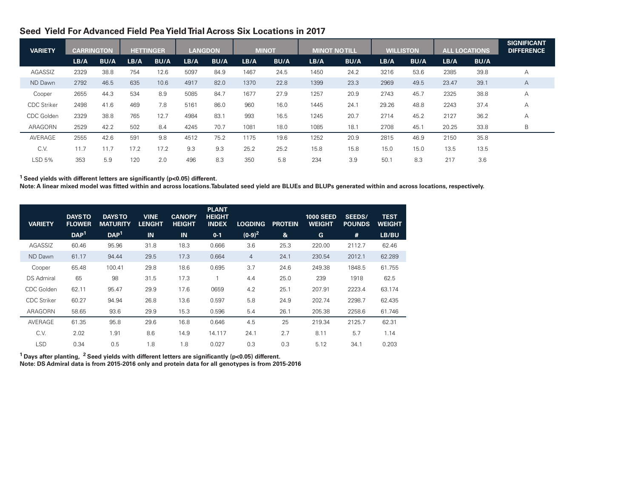### **Seed Yield For Advanced Field Pea Yield Trial Across Six Locations in 2017**

| <b>VARIETY</b>     | <b>CARRINGTON</b> |             |      | <b>HETTINGER</b> | <b>LANGDON</b> |             |      | <b>MINOT</b> | <b>MINOT NO TILL</b> |             | <b>WILLISTON</b> |             | <b>ALL LOCATIONS</b> |             | <b>SIGNIFICANT</b><br><b>DIFFERENCE</b> |
|--------------------|-------------------|-------------|------|------------------|----------------|-------------|------|--------------|----------------------|-------------|------------------|-------------|----------------------|-------------|-----------------------------------------|
|                    | LB/A              | <b>BU/A</b> | LB/A | <b>BU/A</b>      | LB/A           | <b>BU/A</b> | LB/A | <b>BU/A</b>  | LB/A                 | <b>BU/A</b> | LB/A             | <b>BU/A</b> | LB/A                 | <b>BU/A</b> |                                         |
| AGASSIZ            | 2329              | 38.8        | 754  | 12.6             | 5097           | 84.9        | 1467 | 24.5         | 1450                 | 24.2        | 3216             | 53.6        | 2385                 | 39.8        | A                                       |
| ND Dawn            | 2792              | 46.5        | 635  | 10.6             | 4917           | 82.0        | 1370 | 22.8         | 1399                 | 23.3        | 2969             | 49.5        | 23.47                | 39.1        | $\mathsf{A}$                            |
| Cooper             | 2655              | 44.3        | 534  | 8.9              | 5085           | 84.7        | 1677 | 27.9         | 1257                 | 20.9        | 2743             | 45.7        | 2325                 | 38.8        | A                                       |
| <b>CDC Striker</b> | 2498              | 41.6        | 469  | 7.8              | 5161           | 86.0        | 960  | 16.0         | 1445                 | 24.1        | 29.26            | 48.8        | 2243                 | 37.4        | A                                       |
| CDC Golden         | 2329              | 38.8        | 765  | 12.7             | 4984           | 83.1        | 993  | 16.5         | 1245                 | 20.7        | 2714             | 45.2        | 2127                 | 36.2        | A                                       |
| ARAGORN            | 2529              | 42.2        | 502  | 8.4              | 4245           | 70.7        | 1081 | 18.0         | 1085                 | 18.1        | 2708             | 45.1        | 20.25                | 33.8        | B                                       |
| AVERAGE            | 2555              | 42.6        | 591  | 9.8              | 4512           | 75.2        | 1175 | 19.6         | 1252                 | 20.9        | 2815             | 46.9        | 2150                 | 35.8        |                                         |
| C.V.               | 11.7              | 11.7        | 17.2 | 17.2             | 9.3            | 9.3         | 25.2 | 25.2         | 15.8                 | 15.8        | 15.0             | 15.0        | 13.5                 | 13.5        |                                         |
| LSD 5%             | 353               | 5.9         | 120  | 2.0              | 496            | 8.3         | 350  | 5.8          | 234                  | 3.9         | 50.1             | 8.3         | 217                  | 3.6         |                                         |

<sup>1</sup> Seed yields with different letters are significantly (p<0.05) different.

**Note: A linear mixed model was tted within and across locations.Tabulated seed yield are BLUEs and BLUPs generated within and across locations, respectively.**

| <b>VARIETY</b>     | <b>DAYS TO</b><br><b>FLOWER</b> | <b>DAYS TO</b><br><b>MATURITY</b> | <b>VINE</b><br><b>LENGHT</b> | <b>CANOPY</b><br><b>HEIGHT</b> | <b>PLANT</b><br><b>HEIGHT</b><br><b>INDEX</b> | <b>LOGDING</b> | <b>PROTEIN</b> | <b>1000 SEED</b><br><b>WEIGHT</b> | SEEDS/<br><b>POUNDS</b> | <b>TEST</b><br>WEIGHT |
|--------------------|---------------------------------|-----------------------------------|------------------------------|--------------------------------|-----------------------------------------------|----------------|----------------|-----------------------------------|-------------------------|-----------------------|
|                    | DAP <sup>1</sup>                | DAP <sup>1</sup>                  | IN                           | IN                             | $0 - 1$                                       | $(0-9)^2$      | &              | G                                 | #                       | LB/BU                 |
| AGASSIZ            | 60.46                           | 95.96                             | 31.8                         | 18.3                           | 0.666                                         | 3.6            | 25.3           | 220.00                            | 2112.7                  | 62.46                 |
| ND Dawn            | 61.17                           | 94.44                             | 29.5                         | 17.3                           | 0.664                                         | $\overline{4}$ | 24.1           | 230.54                            | 2012.1                  | 62.289                |
| Cooper             | 65.48                           | 100.41                            | 29.8                         | 18.6                           | 0.695                                         | 3.7            | 24.6           | 249.38                            | 1848.5                  | 61.755                |
| <b>DS Admiral</b>  | 65                              | 98                                | 31.5                         | 17.3                           | 1                                             | 4.4            | 25.0           | 239                               | 1918                    | 62.5                  |
| CDC Golden         | 62.11                           | 95.47                             | 29.9                         | 17.6                           | 0659                                          | 4.2            | 25.1           | 207.91                            | 2223.4                  | 63.174                |
| <b>CDC Striker</b> | 60.27                           | 94.94                             | 26.8                         | 13.6                           | 0.597                                         | 5.8            | 24.9           | 202.74                            | 2298.7                  | 62.435                |
| ARAGORN            | 58.65                           | 93.6                              | 29.9                         | 15.3                           | 0.596                                         | 5.4            | 26.1           | 205.38                            | 2258.6                  | 61.746                |
| AVERAGE            | 61.35                           | 95.8                              | 29.6                         | 16.8                           | 0.646                                         | 4.5            | 25             | 219.34                            | 2125.7                  | 62.31                 |
| C.V.               | 2.02                            | 1.91                              | 8.6                          | 14.9                           | 14.117                                        | 24.1           | 2.7            | 8.11                              | 5.7                     | 1.14                  |
| <b>LSD</b>         | 0.34                            | 0.5                               | 1.8                          | 1.8                            | 0.027                                         | 0.3            | 0.3            | 5.12                              | 34.1                    | 0.203                 |

**<sup>1</sup> Days after planting, <sup>2</sup> Seed yields with different letters are significantly (p<0.05) different.** 

**Note: DS Admiral data is from 2015-2016 only and protein data for all genotypes is from 2015-2016**